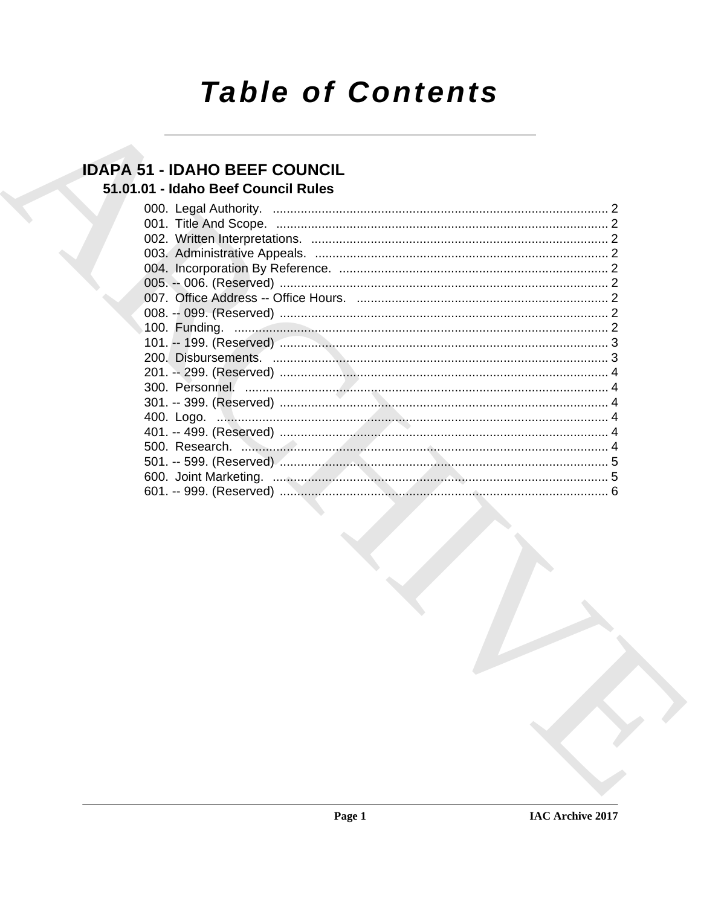# **Table of Contents**

# **IDAPA 51 - IDAHO BEEF COUNCIL**

# 51.01.01 - Idaho Beef Council Rules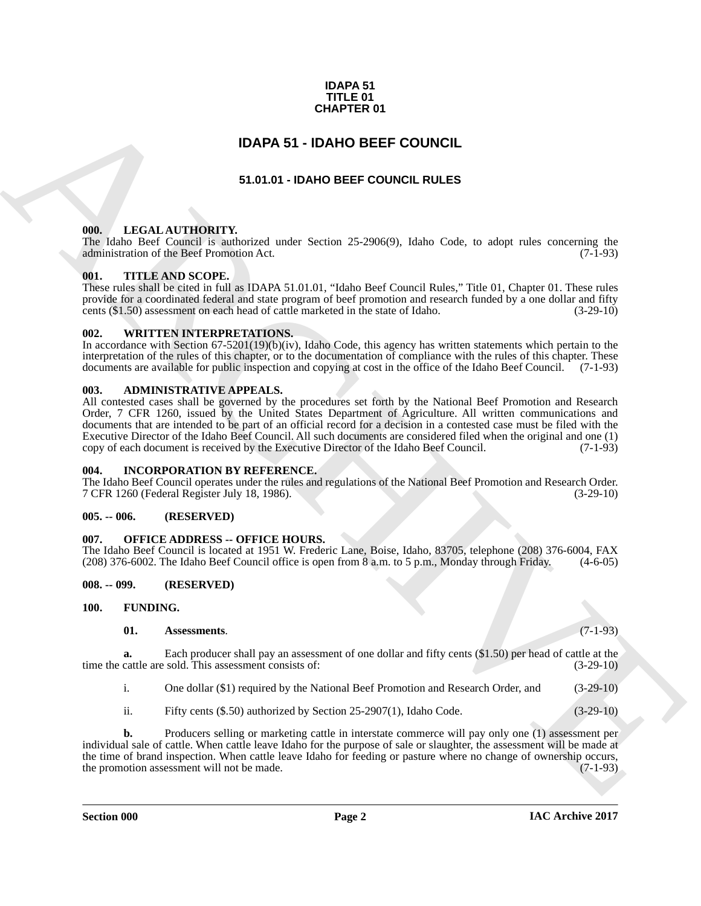#### **IDAPA 51 TITLE 01 CHAPTER 01**

### **IDAPA 51 - IDAHO BEEF COUNCIL**

#### **51.01.01 - IDAHO BEEF COUNCIL RULES**

#### <span id="page-1-2"></span><span id="page-1-1"></span>**000. LEGAL AUTHORITY.**

The Idaho Beef Council is authorized under Section 25-2906(9), Idaho Code, to adopt rules concerning the administration of the Beef Promotion Act. (7-1-93) administration of the Beef Promotion Act.

#### <span id="page-1-3"></span>**001. TITLE AND SCOPE.**

These rules shall be cited in full as IDAPA 51.01.01, "Idaho Beef Council Rules," Title 01, Chapter 01. These rules provide for a coordinated federal and state program of beef promotion and research funded by a one dollar and fifty cents (\$1.50) assessment on each head of cattle marketed in the state of Idaho. (3-29-10)

#### <span id="page-1-4"></span>**002. WRITTEN INTERPRETATIONS.**

In accordance with Section 67-5201(19)(b)(iv), Idaho Code, this agency has written statements which pertain to the interpretation of the rules of this chapter, or to the documentation of compliance with the rules of this chapter. These documents are available for public inspection and copying at cost in the office of the Idaho Beef Council. (7-1-93)

#### <span id="page-1-5"></span>**003. ADMINISTRATIVE APPEALS.**

<span id="page-1-0"></span>**CHAPTER 01**<br>
ST.D (14) **CHAPTER 01**<br>
ST.D (14) **CHAPTER COUNCIL**<br>
ST.D (14) **CHAPTER COUNCIL**<br>
ST.D (14) **CHAPTER COUNCIL EST**<br>
THE USIN AND SCOPE **ARCHIVE CONTINUES**<br>
SERVICE AND SCOPE **ARCHIVE CONTINUES**<br>
SERVICE AND S All contested cases shall be governed by the procedures set forth by the National Beef Promotion and Research Order, 7 CFR 1260, issued by the United States Department of Agriculture. All written communications and documents that are intended to be part of an official record for a decision in a contested case must be filed with the Executive Director of the Idaho Beef Council. All such documents are considered filed when the original and one (1) copy of each document is received by the Executive Director of the Idaho Beef Council.

#### <span id="page-1-6"></span>**004. INCORPORATION BY REFERENCE.**

The Idaho Beef Council operates under the rules and regulations of the National Beef Promotion and Research Order. 7 CFR 1260 (Federal Register July 18, 1986). (3-29-10)

#### <span id="page-1-7"></span>**005. -- 006. (RESERVED)**

#### <span id="page-1-8"></span>**007. OFFICE ADDRESS -- OFFICE HOURS.**

The Idaho Beef Council is located at 1951 W. Frederic Lane, Boise, Idaho, 83705, telephone (208) 376-6004, FAX (208) 376-6002. The Idaho Beef Council office is open from 8 a.m. to 5 p.m., Monday through Friday. (4-6-05)  $(208)$  376-6002. The Idaho Beef Council office is open from 8 a.m. to 5 p.m., Monday through Friday.

#### <span id="page-1-9"></span>**008. -- 099. (RESERVED)**

<span id="page-1-10"></span>**100. FUNDING.**

#### <span id="page-1-12"></span><span id="page-1-11"></span>**01. Assessments**. (7-1-93)

**a.** Each producer shall pay an assessment of one dollar and fifty cents (\$1.50) per head of cattle at the cattle are sold. This assessment consists of: (3-29-10) time the cattle are sold. This assessment consists of:

i. One dollar (\$1) required by the National Beef Promotion and Research Order, and (3-29-10)

ii. Fifty cents (\$.50) authorized by Section 25-2907(1), Idaho Code. (3-29-10)

**b.** Producers selling or marketing cattle in interstate commerce will pay only one (1) assessment per individual sale of cattle. When cattle leave Idaho for the purpose of sale or slaughter, the assessment will be made at the time of brand inspection. When cattle leave Idaho for feeding or pasture where no change of ownership occurs, the promotion assessment will not be made. (7-1-93)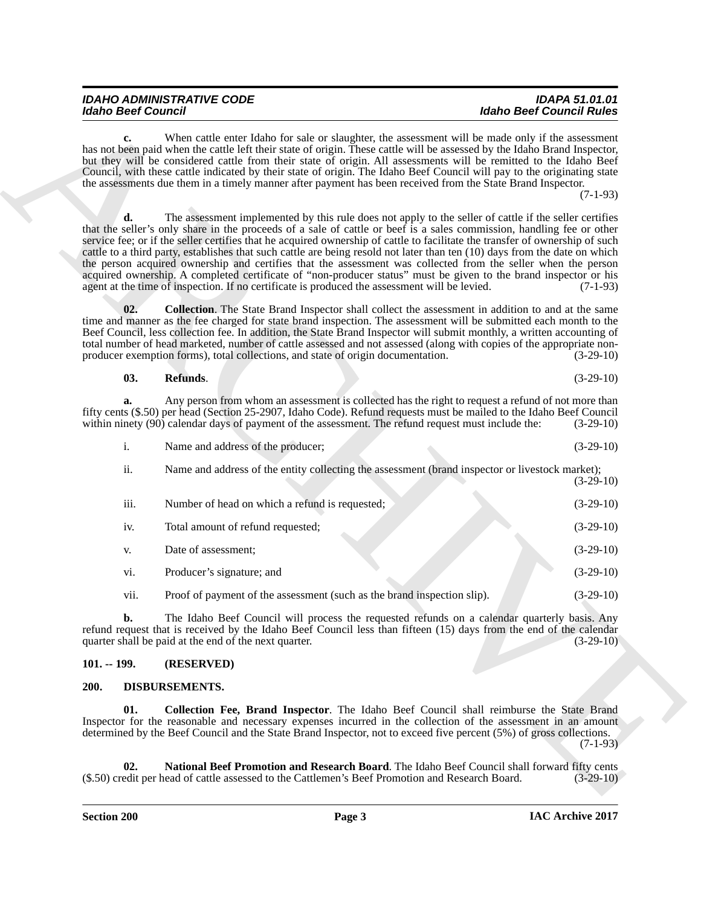| <b>IDAHO ADMINISTRATIVE CODE</b> | <b>IDAPA 51.01.01</b>           |
|----------------------------------|---------------------------------|
| <b>Idaho Beef Council</b>        | <b>Idaho Beef Council Rules</b> |

<span id="page-2-6"></span><span id="page-2-5"></span>

| 03. | Refunds. |  |  | $(3-29-10)$ |
|-----|----------|--|--|-------------|
|-----|----------|--|--|-------------|

|  | Name and address of the producer; |  | $(3-29-10)$ |  |
|--|-----------------------------------|--|-------------|--|
|--|-----------------------------------|--|-------------|--|

| <b>Idaho Beef Council</b> |                                                                                                                                                                                                                                                                                                                                                                                                                                                                                                                                                                                                                                                                                                                                                                                                                                     | <b>Idaho Beef Council Rules</b> |  |
|---------------------------|-------------------------------------------------------------------------------------------------------------------------------------------------------------------------------------------------------------------------------------------------------------------------------------------------------------------------------------------------------------------------------------------------------------------------------------------------------------------------------------------------------------------------------------------------------------------------------------------------------------------------------------------------------------------------------------------------------------------------------------------------------------------------------------------------------------------------------------|---------------------------------|--|
| c.                        | When cattle enter Idaho for sale or slaughter, the assessment will be made only if the assessment<br>has not been paid when the cattle left their state of origin. These cattle will be assessed by the Idaho Brand Inspector,<br>but they will be considered cattle from their state of origin. All assessments will be remitted to the Idaho Beef<br>Council, with these cattle indicated by their state of origin. The Idaho Beef Council will pay to the originating state<br>the assessments due them in a timely manner after payment has been received from the State Brand Inspector.                                                                                                                                                                                                                                       | $(7-1-93)$                      |  |
|                           | The assessment implemented by this rule does not apply to the seller of cattle if the seller certifies<br>that the seller's only share in the proceeds of a sale of cattle or beef is a sales commission, handling fee or other<br>service fee; or if the seller certifies that he acquired ownership of cattle to facilitate the transfer of ownership of such<br>cattle to a third party, establishes that such cattle are being resold not later than ten (10) days from the date on which<br>the person acquired ownership and certifies that the assessment was collected from the seller when the person<br>acquired ownership. A completed certificate of "non-producer status" must be given to the brand inspector or his<br>agent at the time of inspection. If no certificate is produced the assessment will be levied. | $(7-1-93)$                      |  |
| 02.                       | <b>Collection.</b> The State Brand Inspector shall collect the assessment in addition to and at the same<br>time and manner as the fee charged for state brand inspection. The assessment will be submitted each month to the<br>Beef Council, less collection fee. In addition, the State Brand Inspector will submit monthly, a written accounting of<br>total number of head marketed, number of cattle assessed and not assessed (along with copies of the appropriate non-<br>producer exemption forms), total collections, and state of origin documentation.                                                                                                                                                                                                                                                                 | $(3-29-10)$                     |  |
| 03.                       | Refunds.                                                                                                                                                                                                                                                                                                                                                                                                                                                                                                                                                                                                                                                                                                                                                                                                                            | $(3-29-10)$                     |  |
| a.                        | Any person from whom an assessment is collected has the right to request a refund of not more than<br>fifty cents (\$.50) per head (Section 25-2907, Idaho Code). Refund requests must be mailed to the Idaho Beef Council<br>within ninety (90) calendar days of payment of the assessment. The refund request must include the:                                                                                                                                                                                                                                                                                                                                                                                                                                                                                                   | $(3-29-10)$                     |  |
| i.                        | Name and address of the producer;                                                                                                                                                                                                                                                                                                                                                                                                                                                                                                                                                                                                                                                                                                                                                                                                   | $(3-29-10)$                     |  |
| ii.                       | Name and address of the entity collecting the assessment (brand inspector or livestock market);                                                                                                                                                                                                                                                                                                                                                                                                                                                                                                                                                                                                                                                                                                                                     | $(3-29-10)$                     |  |
| iii.                      | Number of head on which a refund is requested;                                                                                                                                                                                                                                                                                                                                                                                                                                                                                                                                                                                                                                                                                                                                                                                      | $(3-29-10)$                     |  |
| iv.                       | Total amount of refund requested;                                                                                                                                                                                                                                                                                                                                                                                                                                                                                                                                                                                                                                                                                                                                                                                                   | $(3-29-10)$                     |  |
| V.                        | Date of assessment;                                                                                                                                                                                                                                                                                                                                                                                                                                                                                                                                                                                                                                                                                                                                                                                                                 | $(3-29-10)$                     |  |
| vi.                       | Producer's signature; and                                                                                                                                                                                                                                                                                                                                                                                                                                                                                                                                                                                                                                                                                                                                                                                                           | $(3-29-10)$                     |  |
| vii.                      | Proof of payment of the assessment (such as the brand inspection slip).                                                                                                                                                                                                                                                                                                                                                                                                                                                                                                                                                                                                                                                                                                                                                             | $(3-29-10)$                     |  |
| D.                        | The Idaho Beef Council will process the requested refunds on a calendar quarterly basis. Any<br>refund request that is received by the Idaho Beef Council less than fifteen (15) days from the end of the calendar<br>quarter shall be paid at the end of the next quarter.                                                                                                                                                                                                                                                                                                                                                                                                                                                                                                                                                         | $(3-29-10)$                     |  |
| $101. - 199.$             | (RESERVED)                                                                                                                                                                                                                                                                                                                                                                                                                                                                                                                                                                                                                                                                                                                                                                                                                          |                                 |  |
| 200.                      | DISBURSEMENTS.                                                                                                                                                                                                                                                                                                                                                                                                                                                                                                                                                                                                                                                                                                                                                                                                                      |                                 |  |
| 01.                       | <b>Collection Fee, Brand Inspector.</b> The Idaho Beef Council shall reimburse the State Brand<br>Inspector for the reasonable and necessary expenses incurred in the collection of the assessment in an amount<br>determined by the Beef Council and the State Brand Inspector, not to exceed five percent (5%) of gross collections.                                                                                                                                                                                                                                                                                                                                                                                                                                                                                              | $(7-1-93)$                      |  |
| 02.                       | National Beef Promotion and Research Board. The Idaho Beef Council shall forward fifty cents<br>(\$.50) credit per head of cattle assessed to the Cattlemen's Beef Promotion and Research Board.                                                                                                                                                                                                                                                                                                                                                                                                                                                                                                                                                                                                                                    | $(3-29-10)$                     |  |

#### <span id="page-2-0"></span>**101. -- 199. (RESERVED)**

#### <span id="page-2-4"></span><span id="page-2-3"></span><span id="page-2-2"></span><span id="page-2-1"></span>**200. DISBURSEMENTS.**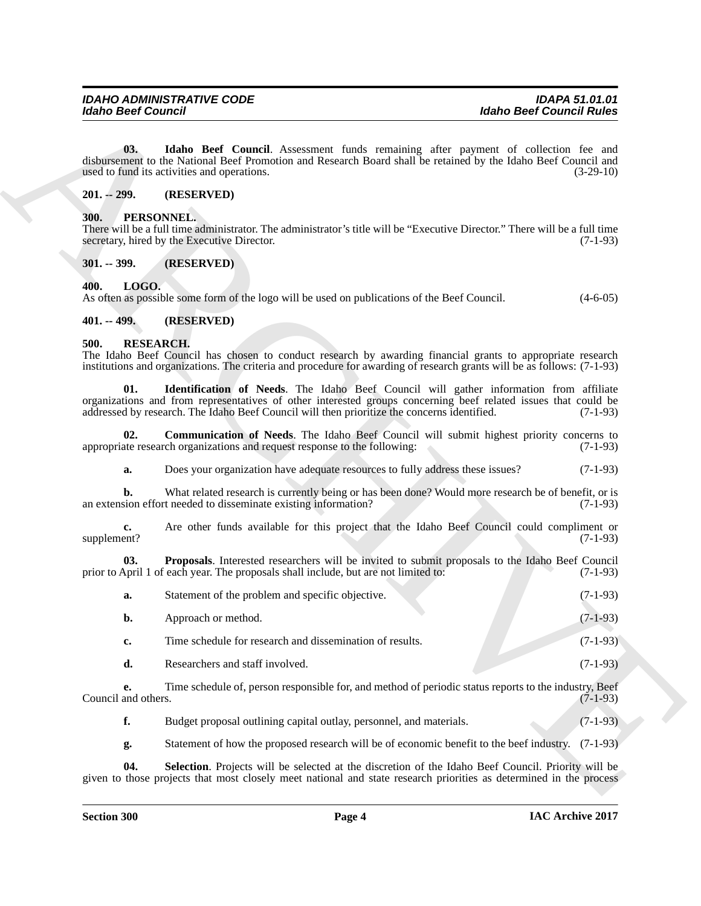#### <span id="page-3-6"></span><span id="page-3-0"></span>**201. -- 299. (RESERVED)**

#### <span id="page-3-8"></span><span id="page-3-1"></span>**300. PERSONNEL.**

#### <span id="page-3-2"></span>**301. -- 399. (RESERVED)**

#### <span id="page-3-7"></span><span id="page-3-3"></span>**400. LOGO.**

#### <span id="page-3-4"></span>**401. -- 499. (RESERVED)**

#### <span id="page-3-13"></span><span id="page-3-12"></span><span id="page-3-11"></span><span id="page-3-10"></span><span id="page-3-9"></span><span id="page-3-5"></span>**500. RESEARCH.**

| <b>Idaho Beef Council</b> | <b>Idaho Beef Council Rules</b>                                                                                                                                                                                                                                                                         |             |
|---------------------------|---------------------------------------------------------------------------------------------------------------------------------------------------------------------------------------------------------------------------------------------------------------------------------------------------------|-------------|
| 03.                       | Idaho Beef Council. Assessment funds remaining after payment of collection fee and<br>disbursement to the National Beef Promotion and Research Board shall be retained by the Idaho Beef Council and<br>used to fund its activities and operations.                                                     | $(3-29-10)$ |
| $201. - 299.$             | (RESERVED)                                                                                                                                                                                                                                                                                              |             |
| 300.                      | PERSONNEL.<br>There will be a full time administrator. The administrator's title will be "Executive Director." There will be a full time<br>secretary, hired by the Executive Director.                                                                                                                 | $(7-1-93)$  |
| $301. - 399.$             | (RESERVED)                                                                                                                                                                                                                                                                                              |             |
| LOGO.<br>400.             | As often as possible some form of the logo will be used on publications of the Beef Council.                                                                                                                                                                                                            | $(4-6-05)$  |
| $401. - 499.$             | (RESERVED)                                                                                                                                                                                                                                                                                              |             |
| <b>RESEARCH.</b><br>500.  | The Idaho Beef Council has chosen to conduct research by awarding financial grants to appropriate research<br>institutions and organizations. The criteria and procedure for awarding of research grants will be as follows: (7-1-93)                                                                   |             |
| 01.                       | Identification of Needs. The Idaho Beef Council will gather information from affiliate<br>organizations and from representatives of other interested groups concerning beef related issues that could be<br>addressed by research. The Idaho Beef Council will then prioritize the concerns identified. | $(7-1-93)$  |
| 02.                       | <b>Communication of Needs.</b> The Idaho Beef Council will submit highest priority concerns to<br>appropriate research organizations and request response to the following:                                                                                                                             | $(7-1-93)$  |
| a.                        | Does your organization have adequate resources to fully address these issues?                                                                                                                                                                                                                           | $(7-1-93)$  |
| b.                        | What related research is currently being or has been done? Would more research be of benefit, or is<br>an extension effort needed to disseminate existing information?                                                                                                                                  | $(7-1-93)$  |
| c.<br>supplement?         | Are other funds available for this project that the Idaho Beef Council could compliment or                                                                                                                                                                                                              | $(7-1-93)$  |
| 03.                       | Proposals. Interested researchers will be invited to submit proposals to the Idaho Beef Council<br>prior to April 1 of each year. The proposals shall include, but are not limited to:                                                                                                                  | $(7-1-93)$  |
| a.                        | Statement of the problem and specific objective.                                                                                                                                                                                                                                                        | $(7-1-93)$  |
| b.                        | Approach or method.                                                                                                                                                                                                                                                                                     | $(7-1-93)$  |
| c.                        | Time schedule for research and dissemination of results.                                                                                                                                                                                                                                                | $(7-1-93)$  |
| d.                        | Researchers and staff involved.                                                                                                                                                                                                                                                                         | $(7-1-93)$  |
| e.<br>Council and others. | Time schedule of, person responsible for, and method of periodic status reports to the industry, Beef                                                                                                                                                                                                   | $(7-1-93)$  |
| f.                        | Budget proposal outlining capital outlay, personnel, and materials.                                                                                                                                                                                                                                     | $(7-1-93)$  |
| g.                        | Statement of how the proposed research will be of economic benefit to the beef industry.                                                                                                                                                                                                                | $(7-1-93)$  |
| 04.                       | Selection. Projects will be selected at the discretion of the Idaho Beef Council. Priority will be                                                                                                                                                                                                      |             |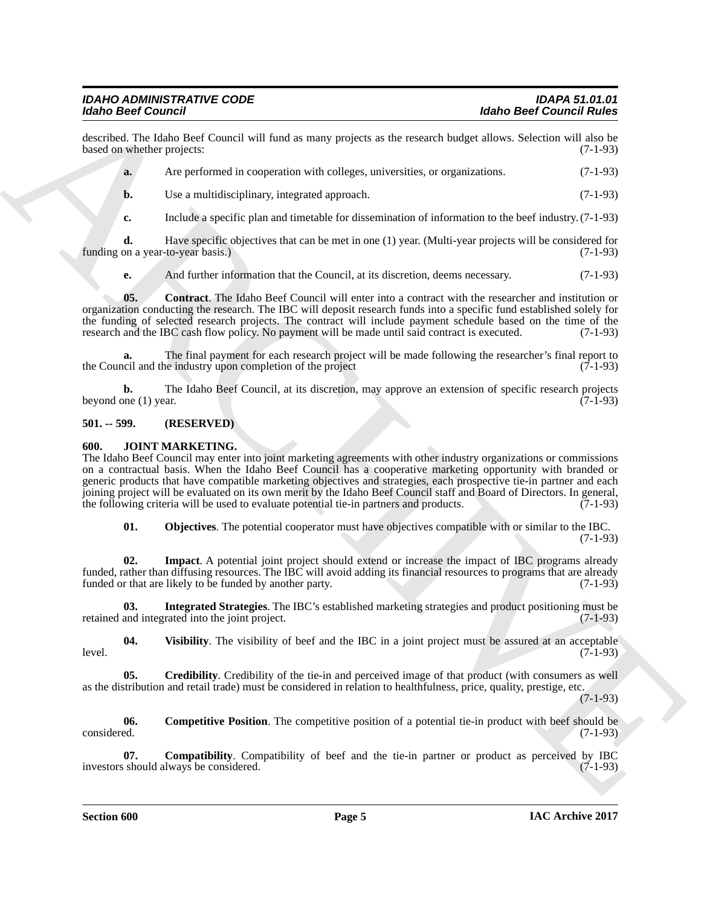described. The Idaho Beef Council will fund as many projects as the research budget allows. Selection will also be based on whether projects:

**a.** Are performed in cooperation with colleges, universities, or organizations. (7-1-93)

**b.** Use a multidisciplinary, integrated approach. (7-1-93)

**c.** Include a specific plan and timetable for dissemination of information to the beef industry. (7-1-93)

**d.** Have specific objectives that can be met in one (1) year. (Multi-year projects will be considered for on a year-to-year basis.) (7-1-93) funding on a year-to-year basis.)

<span id="page-4-10"></span>**e.** And further information that the Council, at its discretion, deems necessary. (7-1-93)

**05.** Contract. The Idaho Beef Council will enter into a contract with the researcher and institution or organization conducting the research. The IBC will deposit research funds into a specific fund established solely for the funding of selected research projects. The contract will include payment schedule based on the time of the research and the IBC cash flow policy. No payment will be made until said contract is executed. (7-1-93) research and the IBC cash flow policy. No payment will be made until said contract is executed.

**a.** The final payment for each research project will be made following the researcher's final report to cil and the industry upon completion of the project the Council and the industry upon completion of the project

**b.** The Idaho Beef Council, at its discretion, may approve an extension of specific research projects one (1) year. (7-1-93) beyond one  $(1)$  year.

#### <span id="page-4-0"></span>**501. -- 599. (RESERVED)**

#### <span id="page-4-2"></span><span id="page-4-1"></span>**600. JOINT MARKETING.**

**Exhibit Desire Countering the state of the state and process of the state and the desired Euler Counter of the Society of the Society and the Society of the Society of the Society of the Counter of the Counter of the Cou** The Idaho Beef Council may enter into joint marketing agreements with other industry organizations or commissions on a contractual basis. When the Idaho Beef Council has a cooperative marketing opportunity with branded or generic products that have compatible marketing objectives and strategies, each prospective tie-in partner and each joining project will be evaluated on its own merit by the Idaho Beef Council staff and Board of Directors. In general, the following criteria will be used to evaluate potential tie-in partners and products. (7-1-93)

<span id="page-4-8"></span><span id="page-4-7"></span><span id="page-4-6"></span>**01. Objectives**. The potential cooperator must have objectives compatible with or similar to the IBC.

(7-1-93)

**02. Impact**. A potential joint project should extend or increase the impact of IBC programs already funded, rather than diffusing resources. The IBC will avoid adding its financial resources to programs that are already funded or that are likely to be funded by another party. (7-1-93) funded or that are likely to be funded by another party.

**03. Integrated Strategies**. The IBC's established marketing strategies and product positioning must be retained and integrated into the joint project. (7-1-93)

<span id="page-4-9"></span>**04.** Visibility. The visibility of beef and the IBC in a joint project must be assured at an acceptable (7-1-93) level. (7-1-93)

<span id="page-4-5"></span>**05. Credibility**. Credibility of the tie-in and perceived image of that product (with consumers as well as the distribution and retail trade) must be considered in relation to healthfulness, price, quality, prestige, etc.

(7-1-93)

<span id="page-4-4"></span>**06.** Competitive Position. The competitive position of a potential tie-in product with beef should be considered. (7-1-93) considered. (7-1-93)

<span id="page-4-3"></span>**07. Compatibility**. Compatibility of beef and the tie-in partner or product as perceived by IBC should always be considered. (7-1-93) investors should always be considered.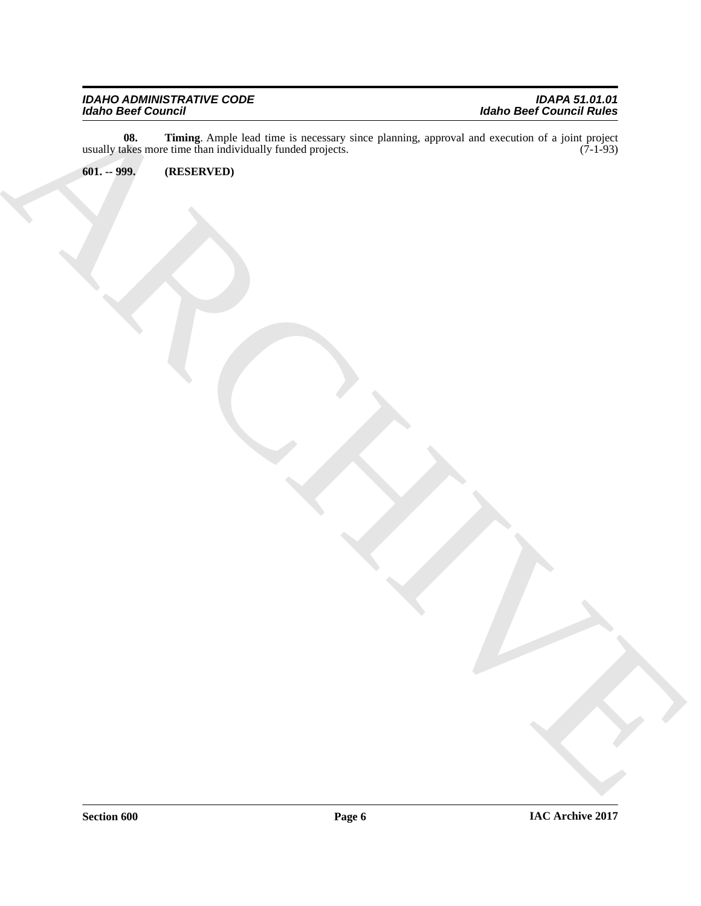ARCHIVE **08. Timing**. Ample lead time is necessary since planning, approval and execution of a joint project usually takes more time than individually funded projects. (7-1-93)

<span id="page-5-1"></span><span id="page-5-0"></span>**601. -- 999. (RESERVED)**